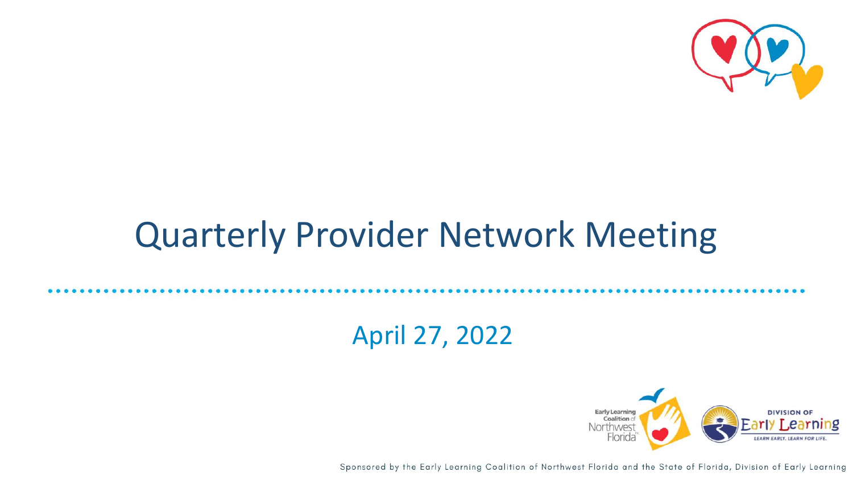

## Quarterly Provider Network Meeting

#### April 27, 2022



Sponsored by the Early Learning Coalition of Northwest Florida and the State of Florida, Division of Early Learning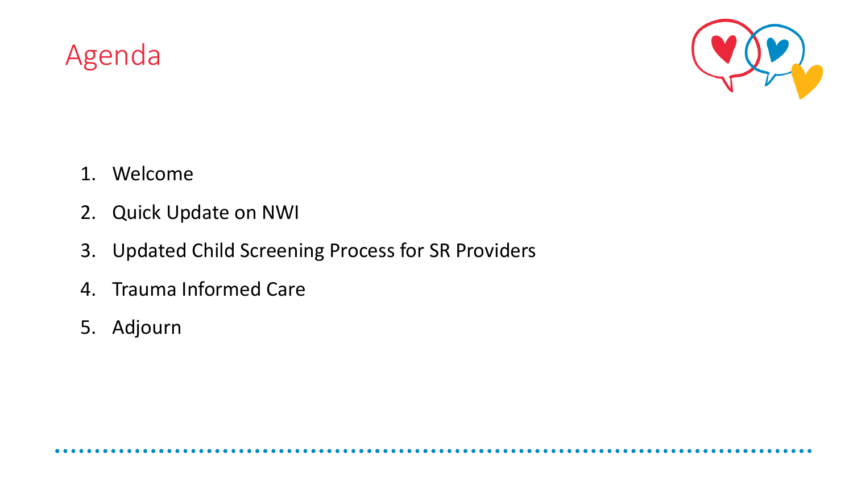Agenda



- 1. Welcome
- 2. Quick Update on NWI
- 3. Updated Child Screening Process for SR Providers
- 4. Trauma Informed Care
- 5. Adjourn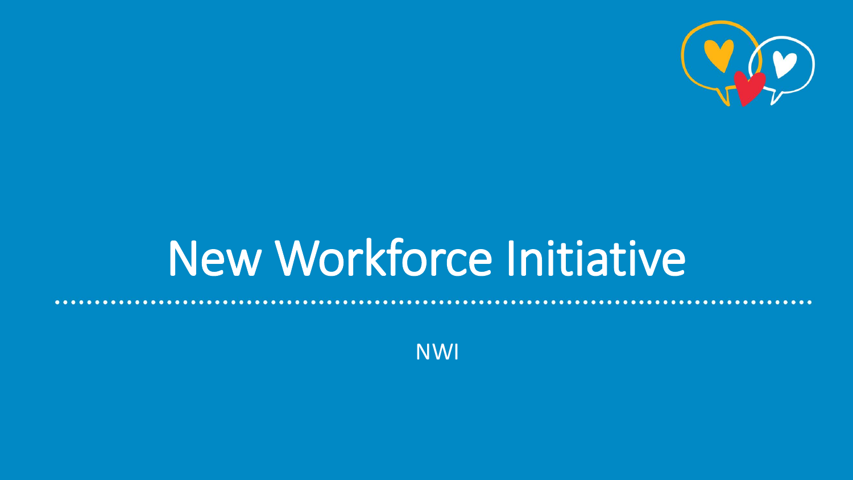

## New Workforce Initiative

NWI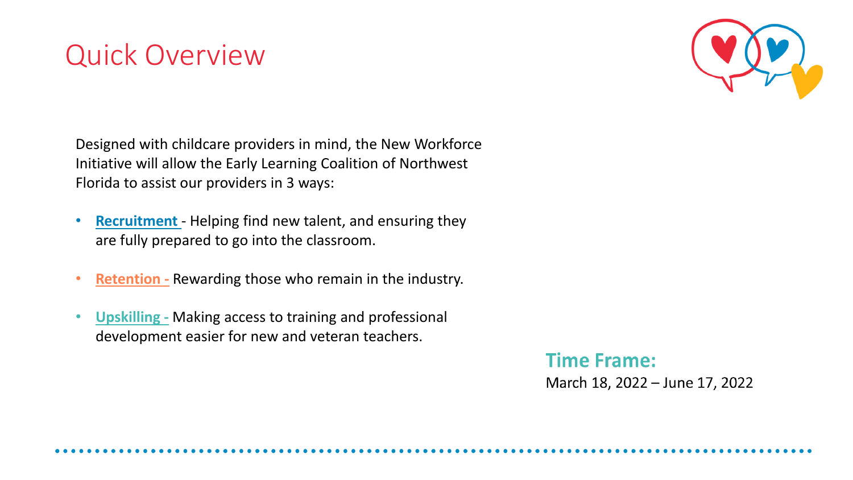## Quick Overview



Designed with childcare providers in mind, the New Workforce Initiative will allow the Early Learning Coalition of Northwest Florida to assist our providers in 3 ways:

- **Recruitment** Helping find new talent, and ensuring they are fully prepared to go into the classroom.
- **Retention -** Rewarding those who remain in the industry.
- **Upskilling -** Making access to training and professional development easier for new and veteran teachers.

**Time Frame:** March 18, 2022 - June 17, 2022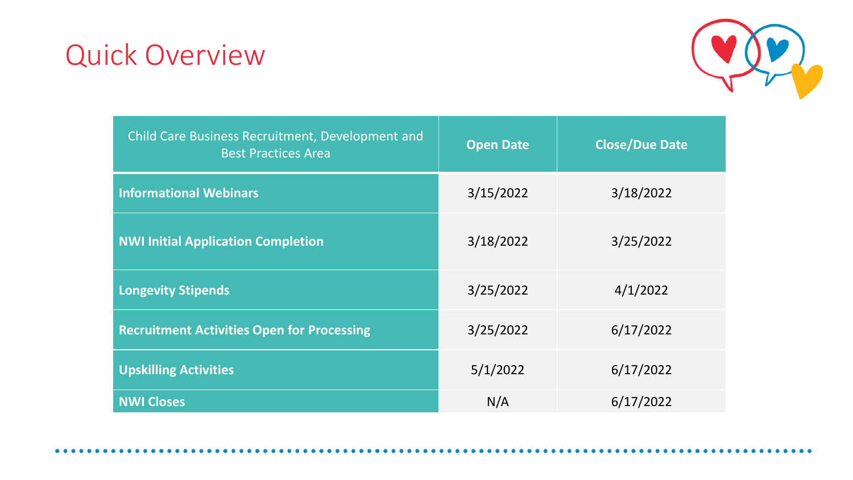## Quick Overview



| <b>Child Care Business Recruitment, Development and</b><br><b>Best Practices Area</b> | <b>Open Date</b> | <b>Close/Due Date</b> |
|---------------------------------------------------------------------------------------|------------------|-----------------------|
| <b>Informational Webinars</b>                                                         | 3/15/2022        | 3/18/2022             |
| <b>NWI Initial Application Completion</b>                                             | 3/18/2022        | 3/25/2022             |
| <b>Longevity Stipends</b>                                                             | 3/25/2022        | 4/1/2022              |
| <b>Recruitment Activities Open for Processing</b>                                     | 3/25/2022        | 6/17/2022             |
| <b>Upskilling Activities</b>                                                          | 5/1/2022         | 6/17/2022             |
| <b>NWI Closes</b>                                                                     | N/A              | 6/17/2022             |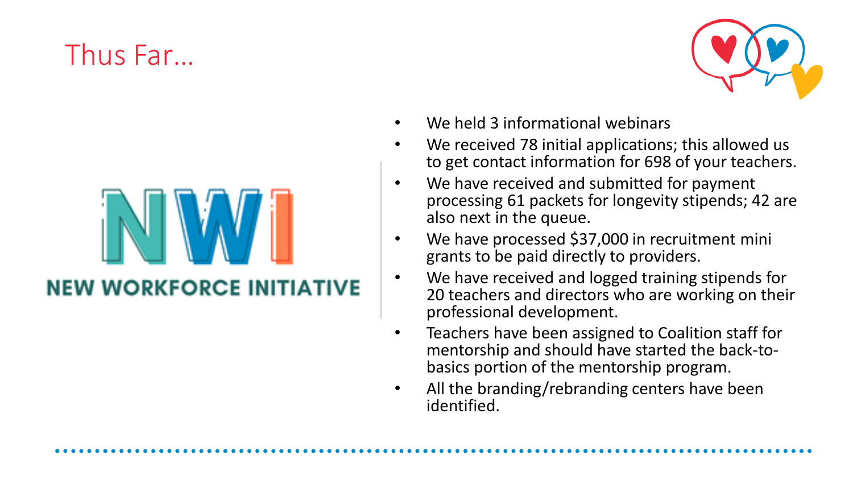## Thus Far…

**NEW WORKFORCE INITIATIVE** 



- We held 3 informational webinars
- We received 78 initial applications; this allowed us to get contact information for 698 of your teachers.
- We have received and submitted for payment processing 61 packets for longevity stipends; 42 are also next in the queue.
- We have processed \$37,000 in recruitment mini grants to be paid directly to providers.
- We have received and logged training stipends for 20 teachers and directors who are working on their professional development.
- Teachers have been assigned to Coalition staff for mentorship and should have started the back -to basics portion of the mentorship program.
- All the branding/rebranding centers have been identified.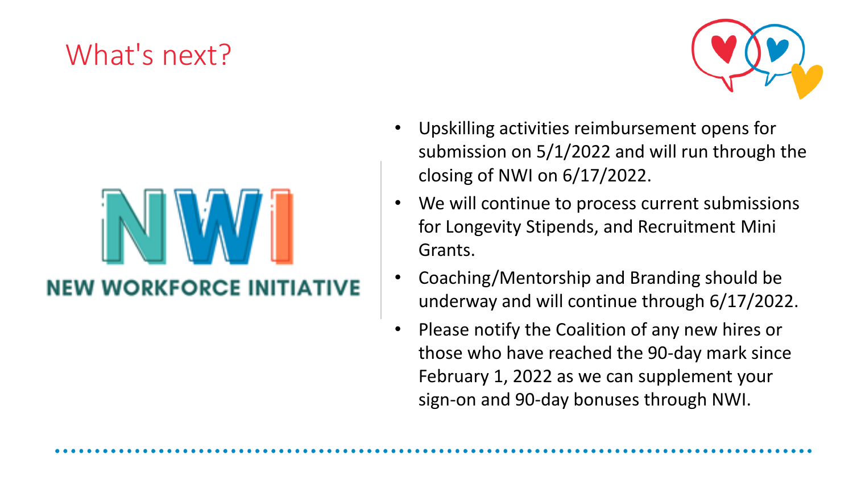## What's next?

**NEW WORKFORCE INITIATIVE** 



- Upskilling activities reimbursement opens for submission on 5/1/2022 and will run through the closing of NWI on 6/17/2022.
- We will continue to process current submissions for Longevity Stipends, and Recruitment Mini Grants.
- Coaching/Mentorship and Branding should be underway and will continue through 6/17/2022.
- Please notify the Coalition of any new hires or those who have reached the 90-day mark since February 1, 2022 as we can supplement your sign-on and 90-day bonuses through NWI.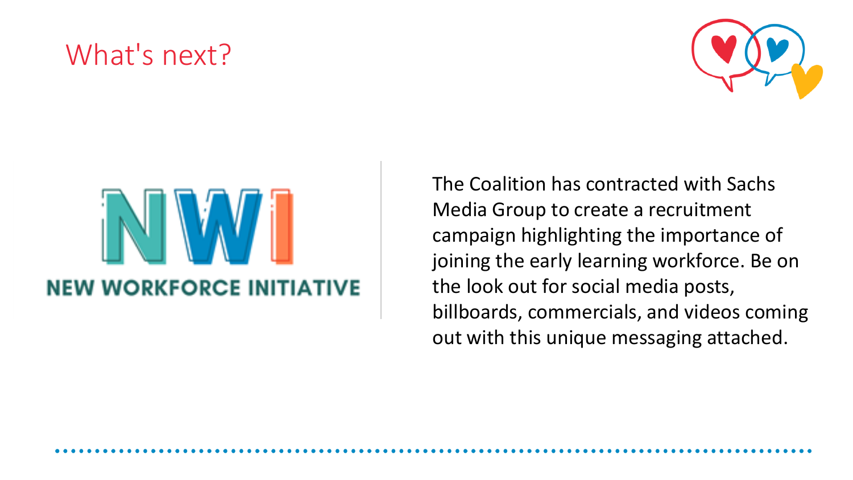## What's next?





The Coalition has contracted with Sachs Media Group to create a recruitment campaign highlighting the importance of joining the early learning workforce. Be on the look out for social media posts, billboards, commercials, and videos coming out with this unique messaging attached.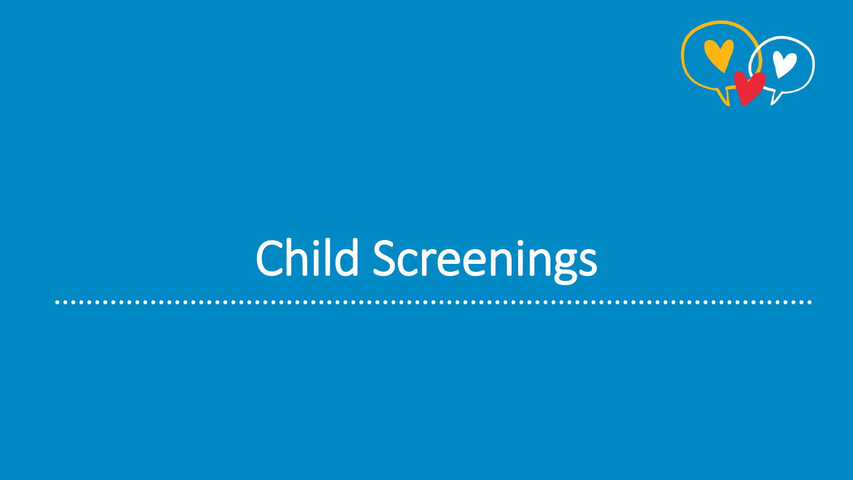

## Child Screenings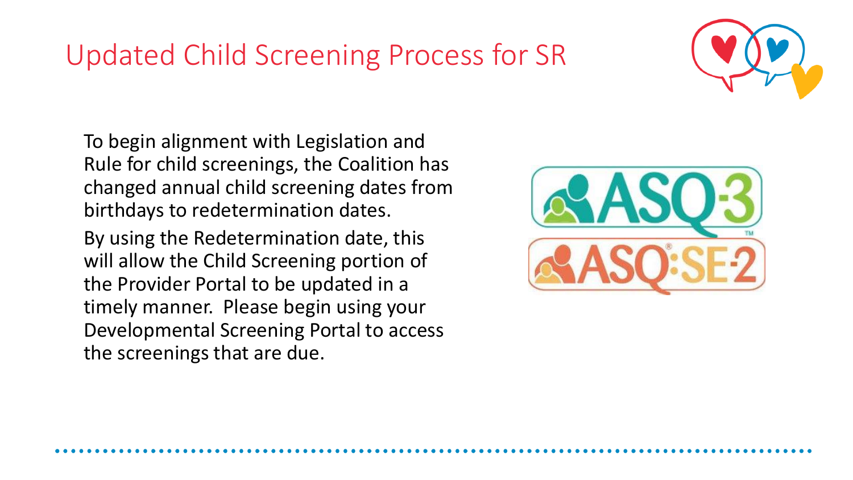## Updated Child Screening Process for SR



To begin alignment with Legislation and Rule for child screenings, the Coalition has changed annual child screening dates from birthdays to redetermination dates.

By using the Redetermination date, this will allow the Child Screening portion of the Provider Portal to be updated in a timely manner. Please begin using your Developmental Screening Portal to access the screenings that are due.

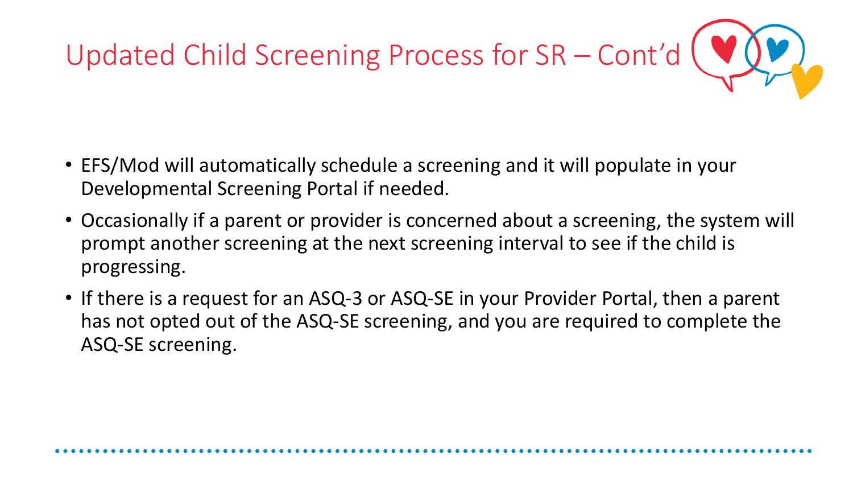# Updated Child Screening Process for SR - Cont'd  $\left($  V)

- EFS/Mod will automatically schedule a screening and it will populate in your Developmental Screening Portal if needed.
- Occasionally if a parent or provider is concerned about a screening, the system will prompt another screening at the next screening interval to see if the child is progressing.
- If there is a request for an ASQ-3 or ASQ-SE in your Provider Portal, then a parent has not opted out of the ASQ-SE screening, and you are required to complete the ASQ-SE screening.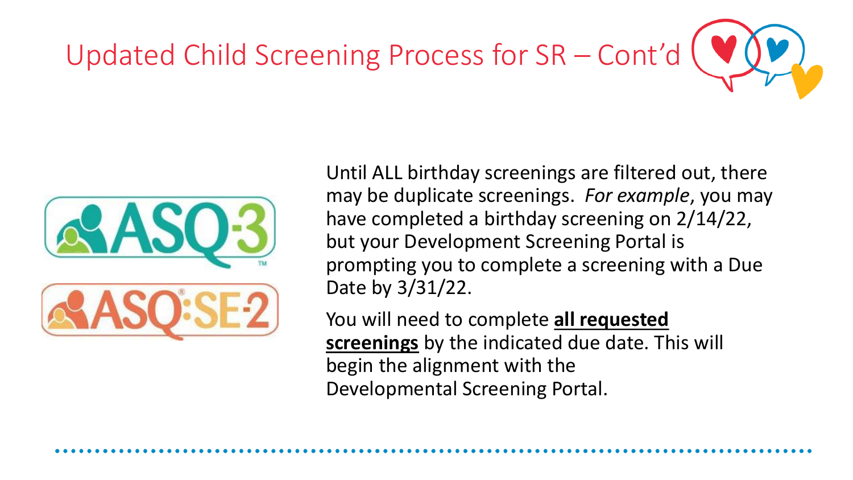# Updated Child Screening Process for SR – Cont'd



Until ALL birthday screenings are filtered out, there may be duplicate screenings. *For example*, you may have completed a birthday screening on 2/14/22, but your Development Screening Portal is prompting you to complete a screening with a Due Date by 3/31/22.

You will need to complete **all requested screenings** by the indicated due date. This will begin the alignment with the Developmental Screening Portal.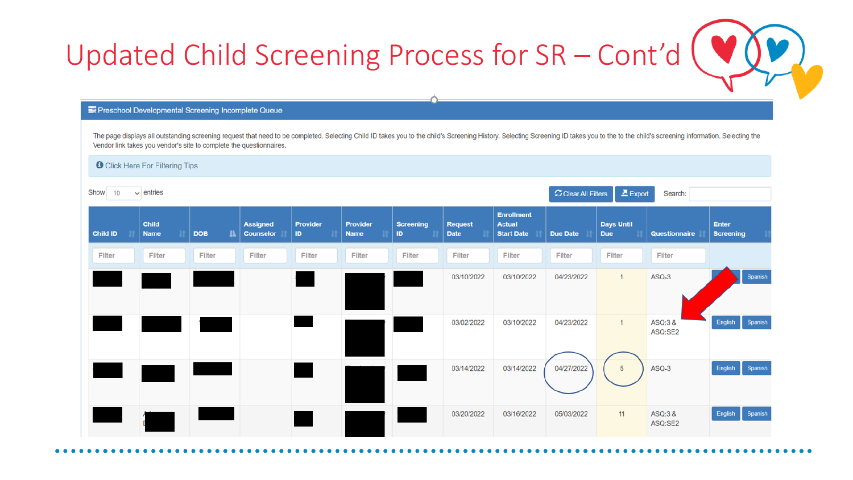

#### Preschool Developmental Screening Incomplete Queue

The page displays all outstanding screening request that need to be completed. Selecting Child ID takes you to the child's Screening History. Selecting Screening ID takes you to the to the child's screening information. Se Vendor link takes you vendor's site to complete the questionnaires.

**O** Click Here For Filtering Tips

| Show<br>$\vee$ entries<br>10 |                             |            |                                     |                        |                                |                         | C Clear All Filters<br>$\mathbf{\Sigma}$ Export<br>Search: |                                                         |                 |                                 |                      |                                  |
|------------------------------|-----------------------------|------------|-------------------------------------|------------------------|--------------------------------|-------------------------|------------------------------------------------------------|---------------------------------------------------------|-----------------|---------------------------------|----------------------|----------------------------------|
| Child ID                     | <b>Child</b><br><b>Name</b> | <b>DOB</b> | <b>Assigned</b><br><b>Counselor</b> | <b>Provider</b><br>ID. | <b>Provider</b><br><b>Name</b> | <b>Screening</b><br>ID. | <b>Request</b><br><b>Date</b>                              | <b>Enrollment</b><br><b>Actual</b><br><b>Start Date</b> | <b>Due Date</b> | <b>Days Until</b><br><b>Due</b> | <b>Questionnaire</b> | <b>Enter</b><br><b>Screening</b> |
| Filter                       | Filter                      | Filter     | Filter                              | Filter                 | Filter                         | Filter                  | Filter                                                     | Filter                                                  | <b>Filter</b>   | Filter                          | Filter               |                                  |
|                              |                             |            |                                     |                        |                                |                         | 03/10/2022                                                 | 03/10/2022                                              | 04/23/2022      | $\mathbf{1}$                    | ASQ-3                | Spanish                          |
|                              |                             |            |                                     |                        |                                |                         | 03/02/2022                                                 | 03/10/2022                                              | 04/23/2022      | $\mathbf{1}$                    | ASQ:3 &<br>ASQ:SE2   | Spanish<br>English               |
|                              |                             |            |                                     |                        |                                |                         | 03/14/2022                                                 | 03/14/2022                                              | 04/27/2022      | $\sqrt{5}$                      | ASQ-3                | Spanish<br>English               |
|                              |                             |            |                                     |                        |                                |                         | 03/20/2022                                                 | 03/16/2022                                              | 05/03/2022      | 11                              | ASQ:3 &<br>ASQ:SE2   | Spanish<br>English               |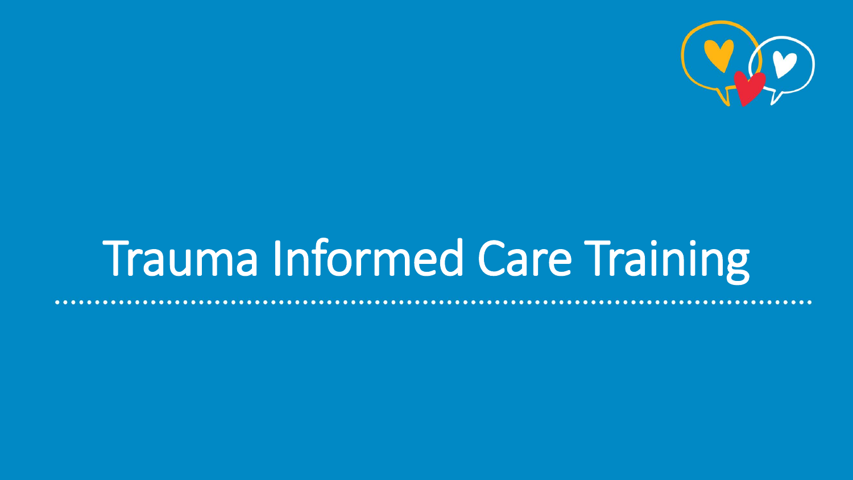

## Trauma Informed Care Training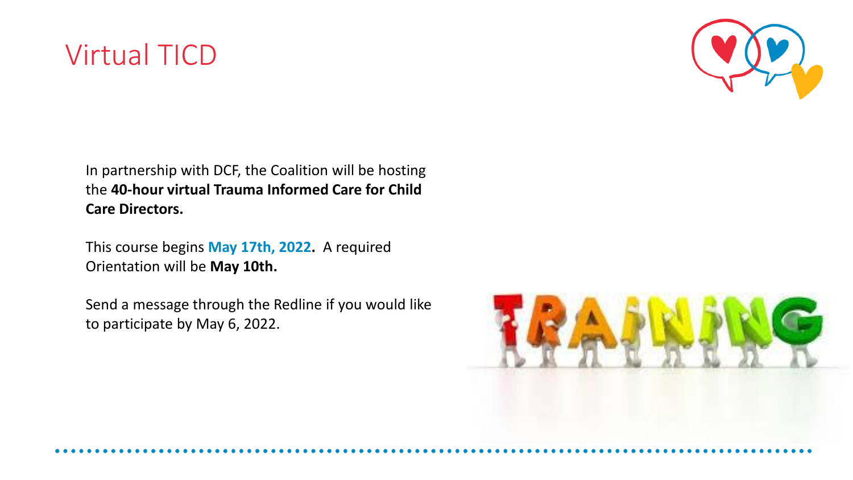



In partnership with DCF, the Coalition will be hosting the **40-hour virtual Trauma Informed Care for Child Care Directors.**

This course begins **May 17th, 2022.** A required Orientation will be **May 10th.**

Send a message through the Redline if you would like to participate by May 6, 2022.

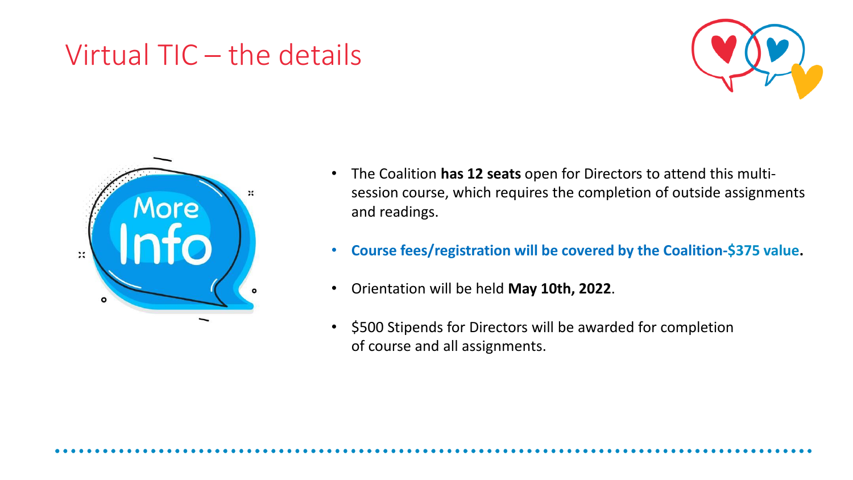## Virtual TIC – the details





- The Coalition **has 12 seats** open for Directors to attend this multisession course, which requires the completion of outside assignments and readings.
- **Course fees/registration will be covered by the Coalition-\$375 value.**
- Orientation will be held **May 10th, 2022**.
- \$500 Stipends for Directors will be awarded for completion of course and all assignments.